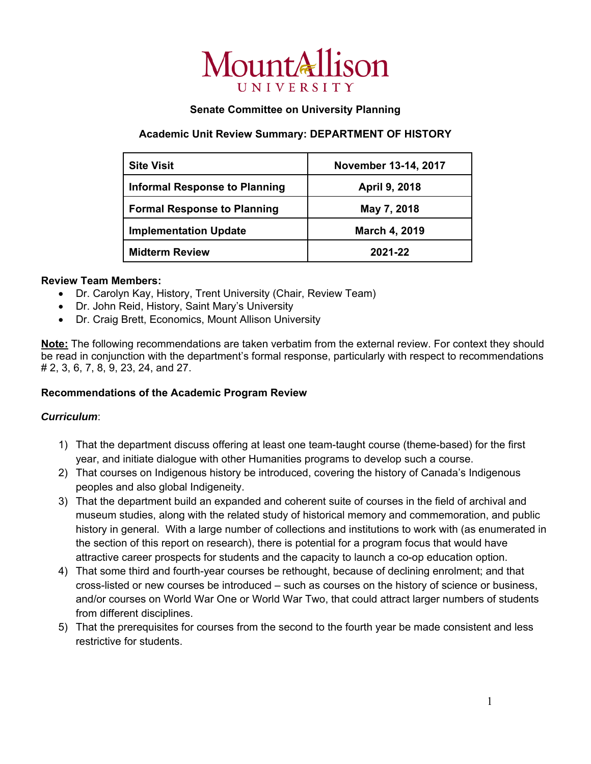

## **Senate Committee on University Planning**

## **Academic Unit Review Summary: DEPARTMENT OF HISTORY**

| <b>Site Visit</b>                    | November 13-14, 2017 |
|--------------------------------------|----------------------|
| <b>Informal Response to Planning</b> | April 9, 2018        |
| <b>Formal Response to Planning</b>   | May 7, 2018          |
| <b>Implementation Update</b>         | March 4, 2019        |
| <b>Midterm Review</b>                | 2021-22              |

### **Review Team Members:**

- Dr. Carolyn Kay, History, Trent University (Chair, Review Team)
- Dr. John Reid, History, Saint Mary's University
- Dr. Craig Brett, Economics, Mount Allison University

**Note:** The following recommendations are taken verbatim from the external review. For context they should be read in conjunction with the department's formal response, particularly with respect to recommendations # 2, 3, 6, 7, 8, 9, 23, 24, and 27.

# **Recommendations of the Academic Program Review**

### *Curriculum*:

- 1) That the department discuss offering at least one team-taught course (theme-based) for the first year, and initiate dialogue with other Humanities programs to develop such a course.
- 2) That courses on Indigenous history be introduced, covering the history of Canada's Indigenous peoples and also global Indigeneity.
- 3) That the department build an expanded and coherent suite of courses in the field of archival and museum studies, along with the related study of historical memory and commemoration, and public history in general. With a large number of collections and institutions to work with (as enumerated in the section of this report on research), there is potential for a program focus that would have attractive career prospects for students and the capacity to launch a co-op education option.
- 4) That some third and fourth-year courses be rethought, because of declining enrolment; and that cross-listed or new courses be introduced – such as courses on the history of science or business, and/or courses on World War One or World War Two, that could attract larger numbers of students from different disciplines.
- 5) That the prerequisites for courses from the second to the fourth year be made consistent and less restrictive for students.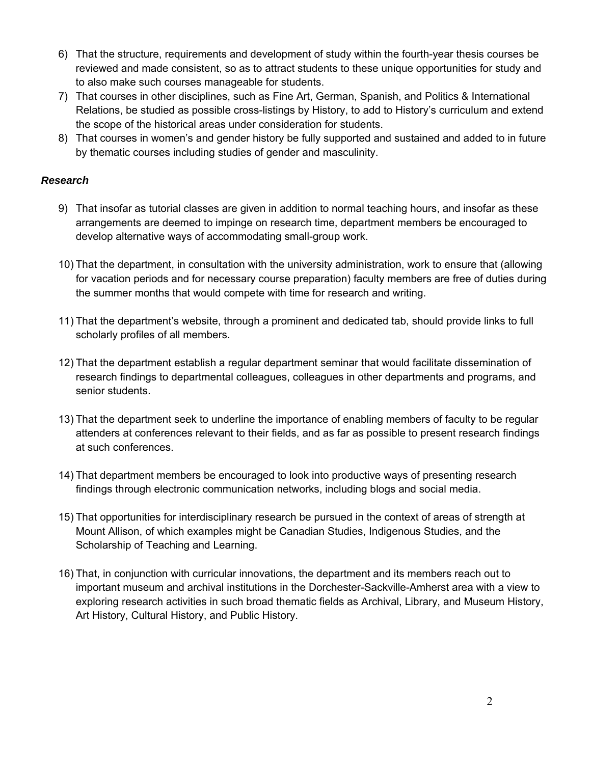- 6) That the structure, requirements and development of study within the fourth-year thesis courses be reviewed and made consistent, so as to attract students to these unique opportunities for study and to also make such courses manageable for students.
- 7) That courses in other disciplines, such as Fine Art, German, Spanish, and Politics & International Relations, be studied as possible cross-listings by History, to add to History's curriculum and extend the scope of the historical areas under consideration for students.
- 8) That courses in women's and gender history be fully supported and sustained and added to in future by thematic courses including studies of gender and masculinity.

## *Research*

- 9) That insofar as tutorial classes are given in addition to normal teaching hours, and insofar as these arrangements are deemed to impinge on research time, department members be encouraged to develop alternative ways of accommodating small-group work.
- 10) That the department, in consultation with the university administration, work to ensure that (allowing for vacation periods and for necessary course preparation) faculty members are free of duties during the summer months that would compete with time for research and writing.
- 11) That the department's website, through a prominent and dedicated tab, should provide links to full scholarly profiles of all members.
- 12) That the department establish a regular department seminar that would facilitate dissemination of research findings to departmental colleagues, colleagues in other departments and programs, and senior students.
- 13) That the department seek to underline the importance of enabling members of faculty to be regular attenders at conferences relevant to their fields, and as far as possible to present research findings at such conferences.
- 14) That department members be encouraged to look into productive ways of presenting research findings through electronic communication networks, including blogs and social media.
- 15) That opportunities for interdisciplinary research be pursued in the context of areas of strength at Mount Allison, of which examples might be Canadian Studies, Indigenous Studies, and the Scholarship of Teaching and Learning.
- 16) That, in conjunction with curricular innovations, the department and its members reach out to important museum and archival institutions in the Dorchester-Sackville-Amherst area with a view to exploring research activities in such broad thematic fields as Archival, Library, and Museum History, Art History, Cultural History, and Public History.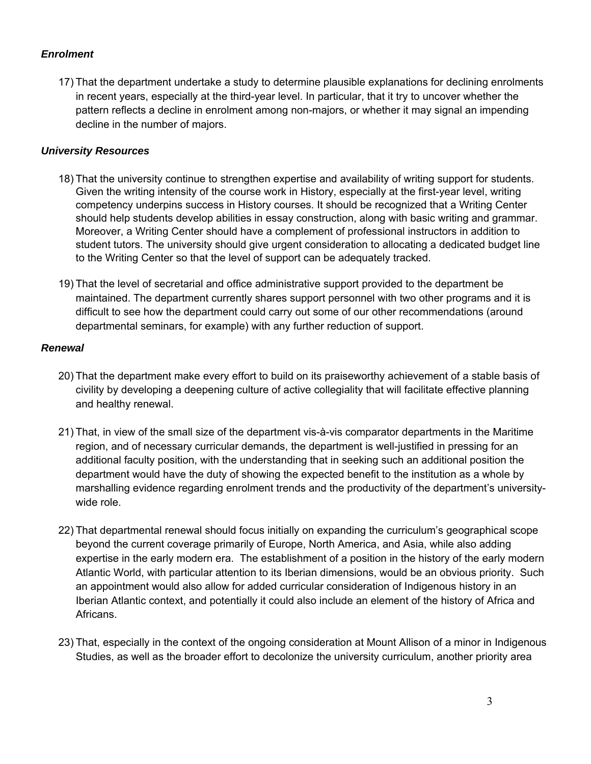### *Enrolment*

17) That the department undertake a study to determine plausible explanations for declining enrolments in recent years, especially at the third-year level. In particular, that it try to uncover whether the pattern reflects a decline in enrolment among non-majors, or whether it may signal an impending decline in the number of majors.

### *University Resources*

- 18) That the university continue to strengthen expertise and availability of writing support for students. Given the writing intensity of the course work in History, especially at the first-year level, writing competency underpins success in History courses. It should be recognized that a Writing Center should help students develop abilities in essay construction, along with basic writing and grammar. Moreover, a Writing Center should have a complement of professional instructors in addition to student tutors. The university should give urgent consideration to allocating a dedicated budget line to the Writing Center so that the level of support can be adequately tracked.
- 19) That the level of secretarial and office administrative support provided to the department be maintained. The department currently shares support personnel with two other programs and it is difficult to see how the department could carry out some of our other recommendations (around departmental seminars, for example) with any further reduction of support.

#### *Renewal*

- 20) That the department make every effort to build on its praiseworthy achievement of a stable basis of civility by developing a deepening culture of active collegiality that will facilitate effective planning and healthy renewal.
- 21) That, in view of the small size of the department vis-à-vis comparator departments in the Maritime region, and of necessary curricular demands, the department is well-justified in pressing for an additional faculty position, with the understanding that in seeking such an additional position the department would have the duty of showing the expected benefit to the institution as a whole by marshalling evidence regarding enrolment trends and the productivity of the department's universitywide role.
- 22) That departmental renewal should focus initially on expanding the curriculum's geographical scope beyond the current coverage primarily of Europe, North America, and Asia, while also adding expertise in the early modern era. The establishment of a position in the history of the early modern Atlantic World, with particular attention to its Iberian dimensions, would be an obvious priority. Such an appointment would also allow for added curricular consideration of Indigenous history in an Iberian Atlantic context, and potentially it could also include an element of the history of Africa and Africans.
- 23) That, especially in the context of the ongoing consideration at Mount Allison of a minor in Indigenous Studies, as well as the broader effort to decolonize the university curriculum, another priority area